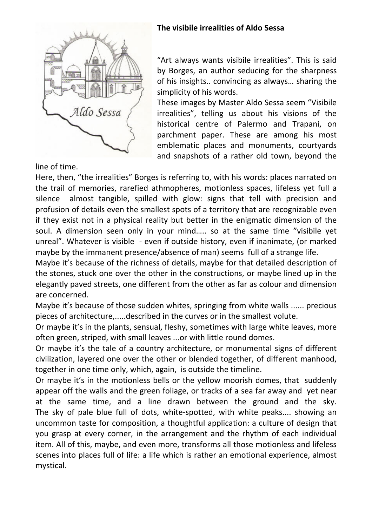

**The visibile irrealities of Aldo Sessa** 

"Art always wants visibile irrealities". This is said by Borges, an author seducing for the sharpness of his insights.. convincing as always… sharing the simplicity of his words.

These images by Master Aldo Sessa seem "Visibile irrealities", telling us about his visions of the historical centre of Palermo and Trapani, on parchment paper. These are among his most emblematic places and monuments, courtyards and snapshots of a rather old town, beyond the

line of time.

Here, then, "the irrealities" Borges is referring to, with his words: places narrated on the trail of memories, rarefied athmopheres, motionless spaces, lifeless yet full a silence almost tangible, spilled with glow: signs that tell with precision and profusion of details even the smallest spots of a territory that are recognizable even if they exist not in a physical reality but better in the enigmatic dimension of the soul. A dimension seen only in your mind….. so at the same time "visibile yet unreal". Whatever is visible - even if outside history, even if inanimate, (or marked maybe by the immanent presence/absence of man) seems full of a strange life.

Maybe it's because of the richness of details, maybe for that detailed description of the stones, stuck one over the other in the constructions, or maybe lined up in the elegantly paved streets, one different from the other as far as colour and dimension are concerned.

Maybe it's because of those sudden whites, springing from white walls ...... precious pieces of architecture,.....described in the curves or in the smallest volute.

Or maybe it's in the plants, sensual, fleshy, sometimes with large white leaves, more often green, striped, with small leaves ...or with little round domes.

Or maybe it's the tale of a country architecture, or monumental signs of different civilization, layered one over the other or blended together, of different manhood, together in one time only, which, again, is outside the timeline.

Or maybe it's in the motionless bells or the yellow moorish domes, that suddenly appear off the walls and the green foliage, or tracks of a sea far away and yet near at the same time, and a line drawn between the ground and the sky. The sky of pale blue full of dots, white-spotted, with white peaks.... showing an uncommon taste for composition, a thoughtful application: a culture of design that you grasp at every corner, in the arrangement and the rhythm of each individual item. All of this, maybe, and even more, transforms all those motionless and lifeless scenes into places full of life: a life which is rather an emotional experience, almost mystical.